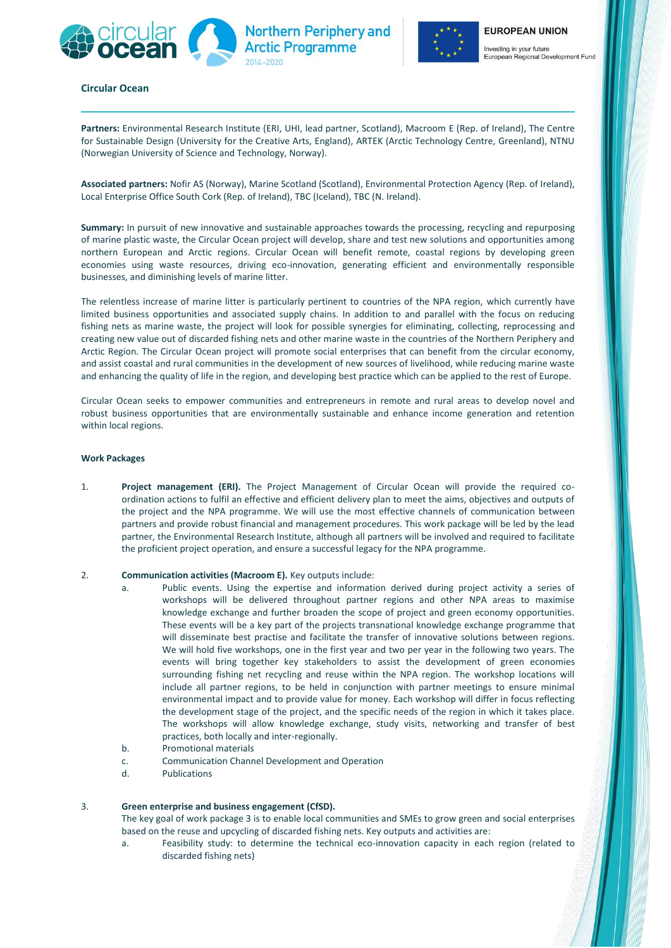



European Regional Development Fund

# **Circular Ocean**

**Partners:** Environmental Research Institute (ERI, UHI, lead partner, Scotland), Macroom E (Rep. of Ireland), The Centre for Sustainable Design (University for the Creative Arts, England), ARTEK (Arctic Technology Centre, Greenland), NTNU (Norwegian University of Science and Technology, Norway).

**Northern Periphery and** 

**Arctic Programme** 

**Associated partners:** Nofir AS (Norway), Marine Scotland (Scotland), Environmental Protection Agency (Rep. of Ireland), Local Enterprise Office South Cork (Rep. of Ireland), TBC (Iceland), TBC (N. Ireland).

**Summary:** In pursuit of new innovative and sustainable approaches towards the processing, recycling and repurposing of marine plastic waste, the Circular Ocean project will develop, share and test new solutions and opportunities among northern European and Arctic regions. Circular Ocean will benefit remote, coastal regions by developing green economies using waste resources, driving eco-innovation, generating efficient and environmentally responsible businesses, and diminishing levels of marine litter.

The relentless increase of marine litter is particularly pertinent to countries of the NPA region, which currently have limited business opportunities and associated supply chains. In addition to and parallel with the focus on reducing fishing nets as marine waste, the project will look for possible synergies for eliminating, collecting, reprocessing and creating new value out of discarded fishing nets and other marine waste in the countries of the Northern Periphery and Arctic Region. The Circular Ocean project will promote social enterprises that can benefit from the circular economy, and assist coastal and rural communities in the development of new sources of livelihood, while reducing marine waste and enhancing the quality of life in the region, and developing best practice which can be applied to the rest of Europe.

Circular Ocean seeks to empower communities and entrepreneurs in remote and rural areas to develop novel and robust business opportunities that are environmentally sustainable and enhance income generation and retention within local regions.

### **Work Packages**

1. **Project management (ERI).** The Project Management of Circular Ocean will provide the required coordination actions to fulfil an effective and efficient delivery plan to meet the aims, objectives and outputs of the project and the NPA programme. We will use the most effective channels of communication between partners and provide robust financial and management procedures. This work package will be led by the lead partner, the Environmental Research Institute, although all partners will be involved and required to facilitate the proficient project operation, and ensure a successful legacy for the NPA programme.

# 2. **Communication activities (Macroom E).** Key outputs include:

- a. Public events. Using the expertise and information derived during project activity a series of workshops will be delivered throughout partner regions and other NPA areas to maximise knowledge exchange and further broaden the scope of project and green economy opportunities. These events will be a key part of the projects transnational knowledge exchange programme that will disseminate best practise and facilitate the transfer of innovative solutions between regions. We will hold five workshops, one in the first year and two per year in the following two years. The events will bring together key stakeholders to assist the development of green economies surrounding fishing net recycling and reuse within the NPA region. The workshop locations will include all partner regions, to be held in conjunction with partner meetings to ensure minimal environmental impact and to provide value for money. Each workshop will differ in focus reflecting the development stage of the project, and the specific needs of the region in which it takes place. The workshops will allow knowledge exchange, study visits, networking and transfer of best practices, both locally and inter-regionally.
- b. Promotional materials
- c. Communication Channel Development and Operation
- d. Publications

### 3. **Green enterprise and business engagement (CfSD).**

The key goal of work package 3 is to enable local communities and SMEs to grow green and social enterprises based on the reuse and upcycling of discarded fishing nets. Key outputs and activities are:

a. Feasibility study: to determine the technical eco-innovation capacity in each region (related to discarded fishing nets)